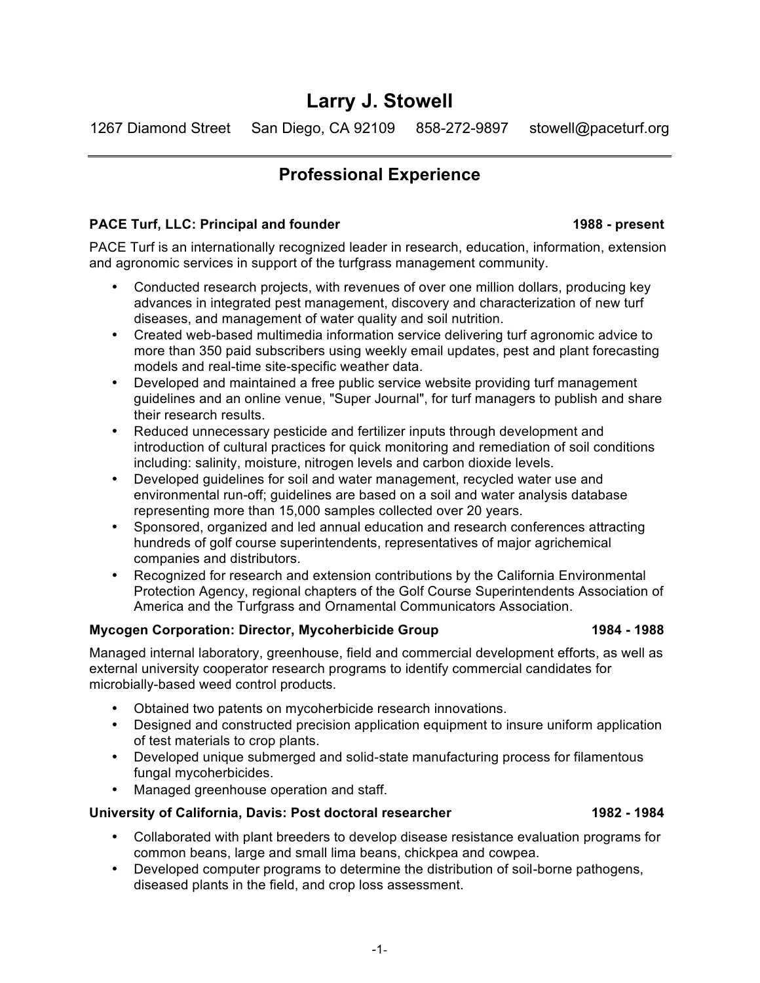# **Larry J. Stowell**

1267 Diamond Street San Diego, CA 92109 858-272-9897 stowell@paceturf.org

# **Professional Experience**

## **PACE Turf, LLC: Principal and founder 1988 - present**

PACE Turf is an internationally recognized leader in research, education, information, extension and agronomic services in support of the turfgrass management community.

- Conducted research projects, with revenues of over one million dollars, producing key advances in integrated pest management, discovery and characterization of new turf diseases, and management of water quality and soil nutrition.
- Created web-based multimedia information service delivering turf agronomic advice to more than 350 paid subscribers using weekly email updates, pest and plant forecasting models and real-time site-specific weather data.
- Developed and maintained a free public service website providing turf management guidelines and an online venue, "Super Journal", for turf managers to publish and share their research results.
- Reduced unnecessary pesticide and fertilizer inputs through development and introduction of cultural practices for quick monitoring and remediation of soil conditions including: salinity, moisture, nitrogen levels and carbon dioxide levels.
- Developed guidelines for soil and water management, recycled water use and environmental run-off; guidelines are based on a soil and water analysis database representing more than 15,000 samples collected over 20 years.
- Sponsored, organized and led annual education and research conferences attracting hundreds of golf course superintendents, representatives of major agrichemical companies and distributors.
- Recognized for research and extension contributions by the California Environmental Protection Agency, regional chapters of the Golf Course Superintendents Association of America and the Turfgrass and Ornamental Communicators Association.

### **Mycogen Corporation: Director, Mycoherbicide Group 1984 - 1988**

Managed internal laboratory, greenhouse, field and commercial development efforts, as well as external university cooperator research programs to identify commercial candidates for microbially-based weed control products.

- Obtained two patents on mycoherbicide research innovations.
- Designed and constructed precision application equipment to insure uniform application of test materials to crop plants.
- Developed unique submerged and solid-state manufacturing process for filamentous fungal mycoherbicides.
- Managed greenhouse operation and staff.

## **University of California, Davis: Post doctoral researcher 1982 - 1984**

- Collaborated with plant breeders to develop disease resistance evaluation programs for common beans, large and small lima beans, chickpea and cowpea.
- Developed computer programs to determine the distribution of soil-borne pathogens, diseased plants in the field, and crop loss assessment.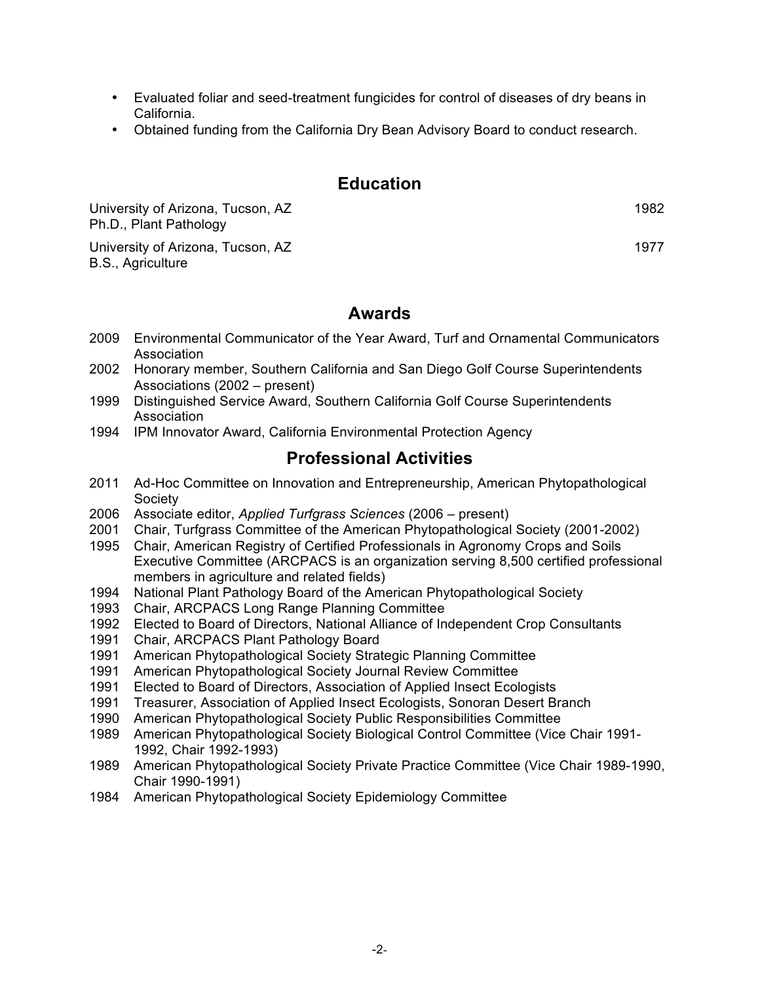- Evaluated foliar and seed-treatment fungicides for control of diseases of dry beans in California.
- Obtained funding from the California Dry Bean Advisory Board to conduct research.

## **Education**

University of Arizona, Tucson, AZ 1982 Ph.D., Plant Pathology

University of Arizona, Tucson, AZ 1977 B.S., Agriculture

## **Awards**

- 2009 Environmental Communicator of the Year Award, Turf and Ornamental Communicators Association
- 2002 Honorary member, Southern California and San Diego Golf Course Superintendents Associations (2002 – present)
- 1999 Distinguished Service Award, Southern California Golf Course Superintendents Association
- 1994 IPM Innovator Award, California Environmental Protection Agency

## **Professional Activities**

- 2011 Ad-Hoc Committee on Innovation and Entrepreneurship, American Phytopathological Society
- 2006 Associate editor, *Applied Turfgrass Sciences* (2006 present)
- 2001 Chair, Turfgrass Committee of the American Phytopathological Society (2001-2002)
- 1995 Chair, American Registry of Certified Professionals in Agronomy Crops and Soils Executive Committee (ARCPACS is an organization serving 8,500 certified professional members in agriculture and related fields)
- 1994 National Plant Pathology Board of the American Phytopathological Society
- 1993 Chair, ARCPACS Long Range Planning Committee
- 1992 Elected to Board of Directors, National Alliance of Independent Crop Consultants
- 1991 Chair, ARCPACS Plant Pathology Board
- 1991 American Phytopathological Society Strategic Planning Committee
- 1991 American Phytopathological Society Journal Review Committee
- 1991 Elected to Board of Directors, Association of Applied Insect Ecologists
- 1991 Treasurer, Association of Applied Insect Ecologists, Sonoran Desert Branch
- 1990 American Phytopathological Society Public Responsibilities Committee
- 1989 American Phytopathological Society Biological Control Committee (Vice Chair 1991- 1992, Chair 1992-1993)
- 1989 American Phytopathological Society Private Practice Committee (Vice Chair 1989-1990, Chair 1990-1991)
- 1984 American Phytopathological Society Epidemiology Committee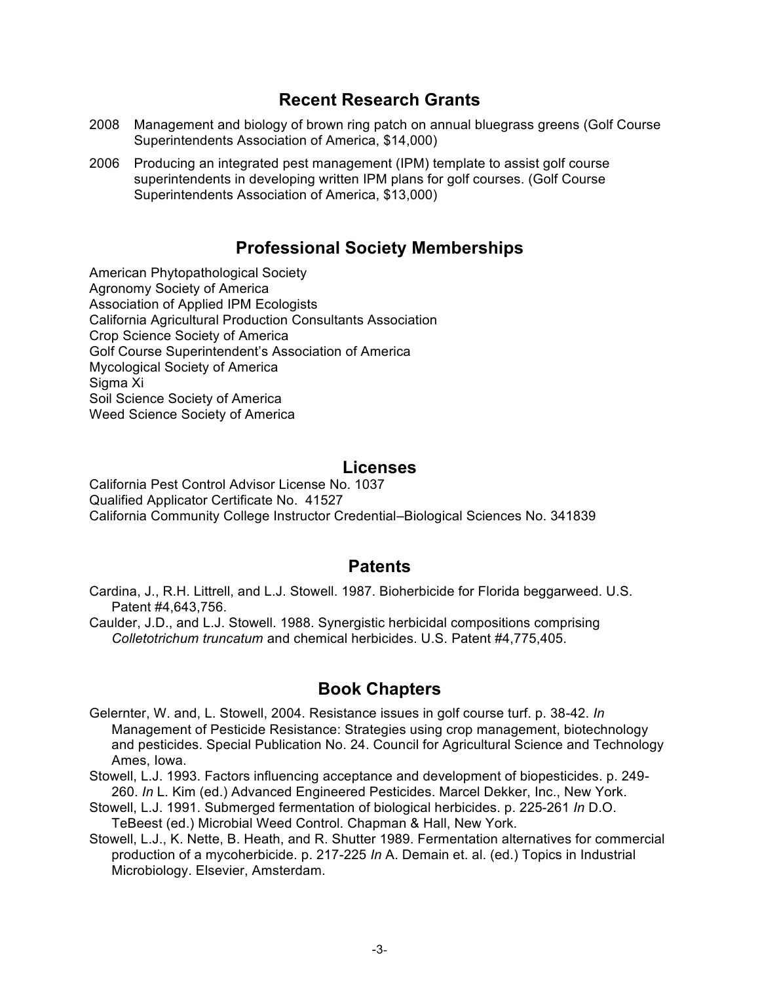## **Recent Research Grants**

- 2008 Management and biology of brown ring patch on annual bluegrass greens (Golf Course Superintendents Association of America, \$14,000)
- 2006 Producing an integrated pest management (IPM) template to assist golf course superintendents in developing written IPM plans for golf courses. (Golf Course Superintendents Association of America, \$13,000)

# **Professional Society Memberships**

American Phytopathological Society Agronomy Society of America Association of Applied IPM Ecologists California Agricultural Production Consultants Association Crop Science Society of America Golf Course Superintendent's Association of America Mycological Society of America Sigma Xi Soil Science Society of America Weed Science Society of America

## **Licenses**

California Pest Control Advisor License No. 1037 Qualified Applicator Certificate No. 41527 California Community College Instructor Credential–Biological Sciences No. 341839

## **Patents**

- Cardina, J., R.H. Littrell, and L.J. Stowell. 1987. Bioherbicide for Florida beggarweed. U.S. Patent #4,643,756.
- Caulder, J.D., and L.J. Stowell. 1988. Synergistic herbicidal compositions comprising *Colletotrichum truncatum* and chemical herbicides. U.S. Patent #4,775,405.

## **Book Chapters**

- Gelernter, W. and, L. Stowell, 2004. Resistance issues in golf course turf. p. 38-42. *In* Management of Pesticide Resistance: Strategies using crop management, biotechnology and pesticides. Special Publication No. 24. Council for Agricultural Science and Technology Ames, Iowa.
- Stowell, L.J. 1993. Factors influencing acceptance and development of biopesticides. p. 249- 260. *In* L. Kim (ed.) Advanced Engineered Pesticides. Marcel Dekker, Inc., New York.
- Stowell, L.J. 1991. Submerged fermentation of biological herbicides. p. 225-261 *In* D.O. TeBeest (ed.) Microbial Weed Control. Chapman & Hall, New York.
- Stowell, L.J., K. Nette, B. Heath, and R. Shutter 1989. Fermentation alternatives for commercial production of a mycoherbicide. p. 217-225 *In* A. Demain et. al. (ed.) Topics in Industrial Microbiology. Elsevier, Amsterdam.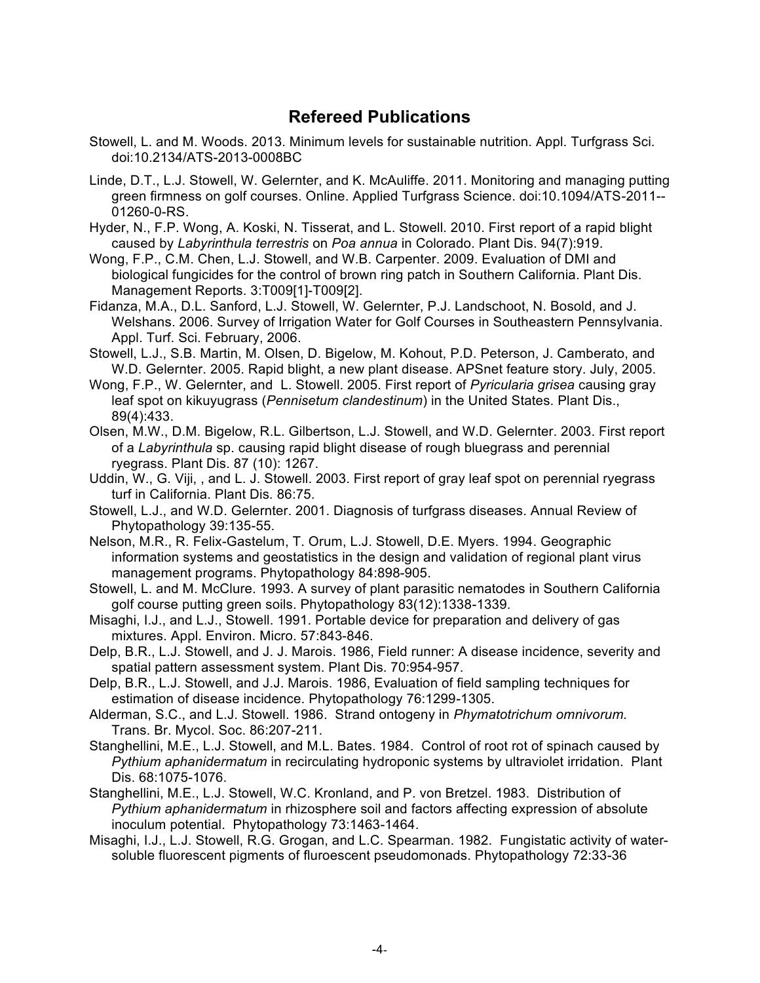# **Refereed Publications**

- Stowell, L. and M. Woods. 2013. Minimum levels for sustainable nutrition. Appl. Turfgrass Sci. doi:10.2134/ATS-2013-0008BC
- Linde, D.T., L.J. Stowell, W. Gelernter, and K. McAuliffe. 2011. Monitoring and managing putting green firmness on golf courses. Online. Applied Turfgrass Science. doi:10.1094/ATS-2011-- 01260-0-RS.
- Hyder, N., F.P. Wong, A. Koski, N. Tisserat, and L. Stowell. 2010. First report of a rapid blight caused by *Labyrinthula terrestris* on *Poa annua* in Colorado. Plant Dis. 94(7):919.
- Wong, F.P., C.M. Chen, L.J. Stowell, and W.B. Carpenter. 2009. Evaluation of DMI and biological fungicides for the control of brown ring patch in Southern California. Plant Dis. Management Reports. 3:T009[1]-T009[2].
- Fidanza, M.A., D.L. Sanford, L.J. Stowell, W. Gelernter, P.J. Landschoot, N. Bosold, and J. Welshans. 2006. Survey of Irrigation Water for Golf Courses in Southeastern Pennsylvania. Appl. Turf. Sci. February, 2006.
- Stowell, L.J., S.B. Martin, M. Olsen, D. Bigelow, M. Kohout, P.D. Peterson, J. Camberato, and W.D. Gelernter. 2005. Rapid blight, a new plant disease. APSnet feature story. July, 2005.
- Wong, F.P., W. Gelernter, and L. Stowell. 2005. First report of *Pyricularia grisea* causing gray leaf spot on kikuyugrass (*Pennisetum clandestinum*) in the United States. Plant Dis., 89(4):433.
- Olsen, M.W., D.M. Bigelow, R.L. Gilbertson, L.J. Stowell, and W.D. Gelernter. 2003. First report of a *Labyrinthula* sp. causing rapid blight disease of rough bluegrass and perennial ryegrass. Plant Dis. 87 (10): 1267.
- Uddin, W., G. Viji, , and L. J. Stowell. 2003. First report of gray leaf spot on perennial ryegrass turf in California. Plant Dis*.* 86:75.
- Stowell, L.J., and W.D. Gelernter. 2001. Diagnosis of turfgrass diseases. Annual Review of Phytopathology 39:135-55.
- Nelson, M.R., R. Felix-Gastelum, T. Orum, L.J. Stowell, D.E. Myers. 1994. Geographic information systems and geostatistics in the design and validation of regional plant virus management programs. Phytopathology 84:898-905.
- Stowell, L. and M. McClure. 1993. A survey of plant parasitic nematodes in Southern California golf course putting green soils. Phytopathology 83(12):1338-1339.
- Misaghi, I.J., and L.J., Stowell. 1991. Portable device for preparation and delivery of gas mixtures. Appl. Environ. Micro. 57:843-846.
- Delp, B.R., L.J. Stowell, and J. J. Marois. 1986, Field runner: A disease incidence, severity and spatial pattern assessment system. Plant Dis. 70:954-957.
- Delp, B.R., L.J. Stowell, and J.J. Marois. 1986, Evaluation of field sampling techniques for estimation of disease incidence. Phytopathology 76:1299-1305.
- Alderman, S.C., and L.J. Stowell. 1986. Strand ontogeny in *Phymatotrichum omnivorum.* Trans. Br. Mycol. Soc. 86:207-211.
- Stanghellini, M.E., L.J. Stowell, and M.L. Bates. 1984. Control of root rot of spinach caused by *Pythium aphanidermatum* in recirculating hydroponic systems by ultraviolet irridation. Plant Dis. 68:1075-1076.
- Stanghellini, M.E., L.J. Stowell, W.C. Kronland, and P. von Bretzel. 1983. Distribution of *Pythium aphanidermatum* in rhizosphere soil and factors affecting expression of absolute inoculum potential. Phytopathology 73:1463-1464.
- Misaghi, I.J., L.J. Stowell, R.G. Grogan, and L.C. Spearman. 1982. Fungistatic activity of watersoluble fluorescent pigments of fluroescent pseudomonads. Phytopathology 72:33-36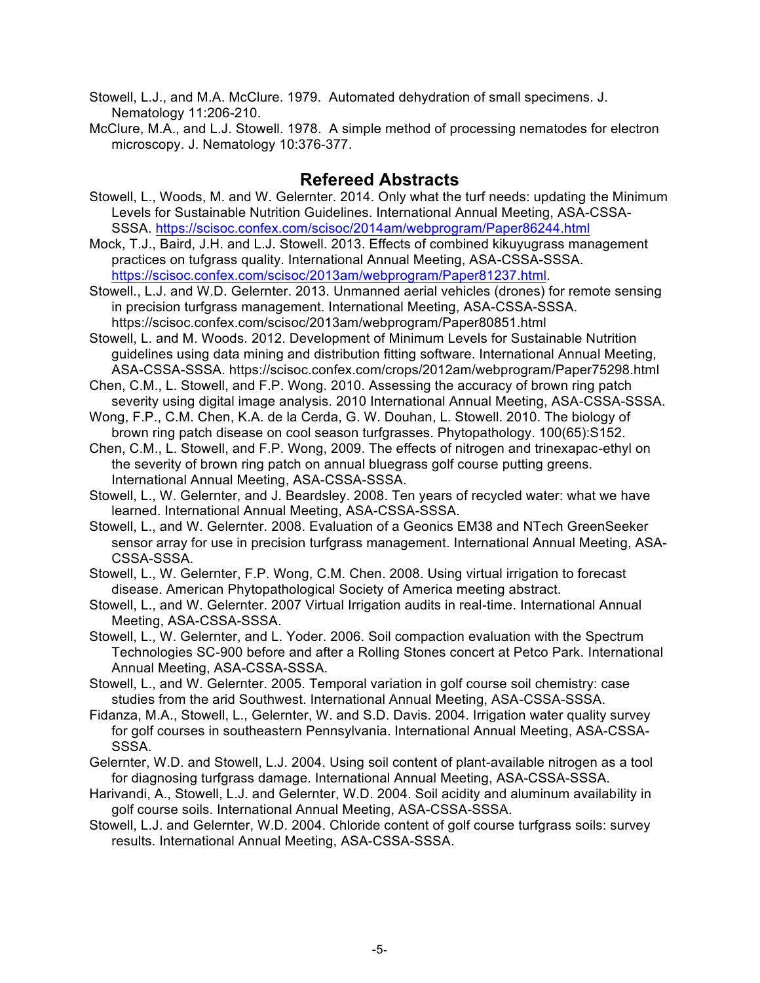Stowell, L.J., and M.A. McClure. 1979. Automated dehydration of small specimens. J. Nematology 11:206-210.

McClure, M.A., and L.J. Stowell. 1978. A simple method of processing nematodes for electron microscopy. J. Nematology 10:376-377.

# **Refereed Abstracts**

- Stowell, L., Woods, M. and W. Gelernter. 2014. Only what the turf needs: updating the Minimum Levels for Sustainable Nutrition Guidelines. International Annual Meeting, ASA-CSSA-SSSA. https://scisoc.confex.com/scisoc/2014am/webprogram/Paper86244.html
- Mock, T.J., Baird, J.H. and L.J. Stowell. 2013. Effects of combined kikuyugrass management practices on tufgrass quality. International Annual Meeting, ASA-CSSA-SSSA. https://scisoc.confex.com/scisoc/2013am/webprogram/Paper81237.html.
- Stowell., L.J. and W.D. Gelernter. 2013. Unmanned aerial vehicles (drones) for remote sensing in precision turfgrass management. International Meeting, ASA-CSSA-SSSA. https://scisoc.confex.com/scisoc/2013am/webprogram/Paper80851.html
- Stowell, L. and M. Woods. 2012. Development of Minimum Levels for Sustainable Nutrition guidelines using data mining and distribution fitting software. International Annual Meeting, ASA-CSSA-SSSA. https://scisoc.confex.com/crops/2012am/webprogram/Paper75298.html
- Chen, C.M., L. Stowell, and F.P. Wong. 2010. Assessing the accuracy of brown ring patch severity using digital image analysis. 2010 International Annual Meeting, ASA-CSSA-SSSA.
- Wong, F.P., C.M. Chen, K.A. de la Cerda, G. W. Douhan, L. Stowell. 2010. The biology of brown ring patch disease on cool season turfgrasses. Phytopathology. 100(65):S152.
- Chen, C.M., L. Stowell, and F.P. Wong, 2009. The effects of nitrogen and trinexapac-ethyl on the severity of brown ring patch on annual bluegrass golf course putting greens. International Annual Meeting, ASA-CSSA-SSSA.
- Stowell, L., W. Gelernter, and J. Beardsley. 2008. Ten years of recycled water: what we have learned. International Annual Meeting, ASA-CSSA-SSSA.
- Stowell, L., and W. Gelernter. 2008. Evaluation of a Geonics EM38 and NTech GreenSeeker sensor array for use in precision turfgrass management. International Annual Meeting, ASA-CSSA-SSSA.

Stowell, L., W. Gelernter, F.P. Wong, C.M. Chen. 2008. Using virtual irrigation to forecast disease. American Phytopathological Society of America meeting abstract.

Stowell, L., and W. Gelernter. 2007 Virtual Irrigation audits in real-time. International Annual Meeting, ASA-CSSA-SSSA.

- Stowell, L., W. Gelernter, and L. Yoder. 2006. Soil compaction evaluation with the Spectrum Technologies SC-900 before and after a Rolling Stones concert at Petco Park. International Annual Meeting, ASA-CSSA-SSSA.
- Stowell, L., and W. Gelernter. 2005. Temporal variation in golf course soil chemistry: case studies from the arid Southwest. International Annual Meeting, ASA-CSSA-SSSA.
- Fidanza, M.A., Stowell, L., Gelernter, W. and S.D. Davis. 2004. Irrigation water quality survey for golf courses in southeastern Pennsylvania. International Annual Meeting, ASA-CSSA-SSSA.
- Gelernter, W.D. and Stowell, L.J. 2004. Using soil content of plant-available nitrogen as a tool for diagnosing turfgrass damage. International Annual Meeting, ASA-CSSA-SSSA.
- Harivandi, A., Stowell, L.J. and Gelernter, W.D. 2004. Soil acidity and aluminum availability in golf course soils. International Annual Meeting, ASA-CSSA-SSSA.
- Stowell, L.J. and Gelernter, W.D. 2004. Chloride content of golf course turfgrass soils: survey results. International Annual Meeting, ASA-CSSA-SSSA.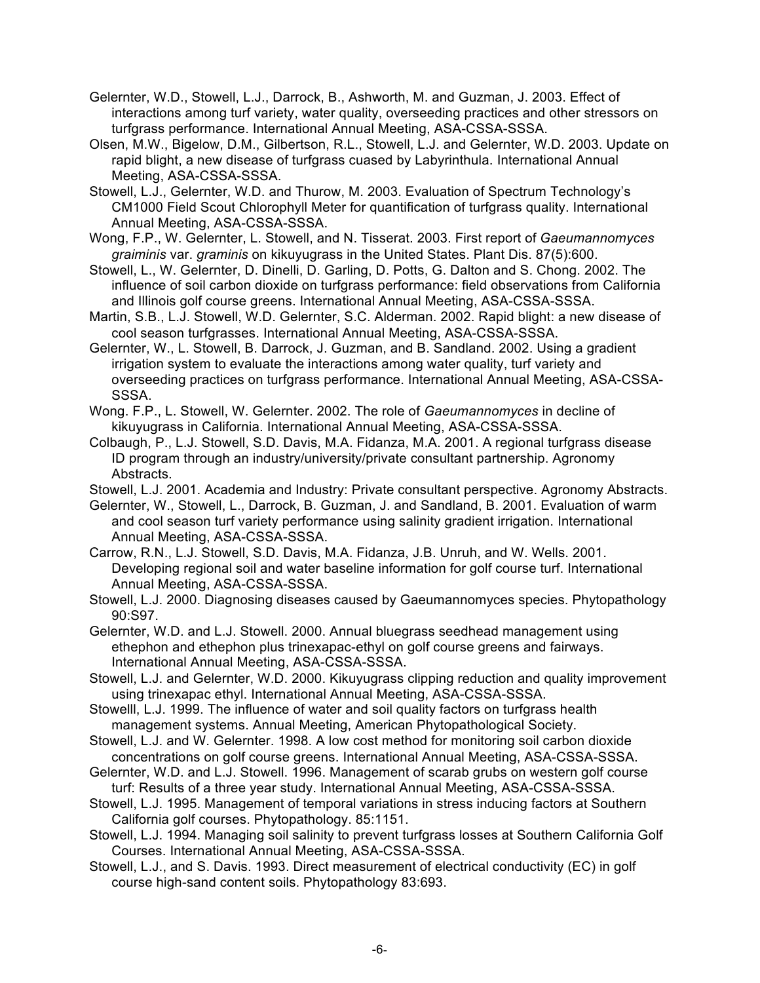Gelernter, W.D., Stowell, L.J., Darrock, B., Ashworth, M. and Guzman, J. 2003. Effect of interactions among turf variety, water quality, overseeding practices and other stressors on turfgrass performance. International Annual Meeting, ASA-CSSA-SSSA.

Olsen, M.W., Bigelow, D.M., Gilbertson, R.L., Stowell, L.J. and Gelernter, W.D. 2003. Update on rapid blight, a new disease of turfgrass cuased by Labyrinthula. International Annual Meeting, ASA-CSSA-SSSA.

- Stowell, L.J., Gelernter, W.D. and Thurow, M. 2003. Evaluation of Spectrum Technology's CM1000 Field Scout Chlorophyll Meter for quantification of turfgrass quality. International Annual Meeting, ASA-CSSA-SSSA.
- Wong, F.P., W. Gelernter, L. Stowell, and N. Tisserat. 2003. First report of *Gaeumannomyces graiminis* var. *graminis* on kikuyugrass in the United States. Plant Dis. 87(5):600.
- Stowell, L., W. Gelernter, D. Dinelli, D. Garling, D. Potts, G. Dalton and S. Chong. 2002. The influence of soil carbon dioxide on turfgrass performance: field observations from California and Illinois golf course greens. International Annual Meeting, ASA-CSSA-SSSA.
- Martin, S.B., L.J. Stowell, W.D. Gelernter, S.C. Alderman. 2002. Rapid blight: a new disease of cool season turfgrasses. International Annual Meeting, ASA-CSSA-SSSA.
- Gelernter, W., L. Stowell, B. Darrock, J. Guzman, and B. Sandland. 2002. Using a gradient irrigation system to evaluate the interactions among water quality, turf variety and overseeding practices on turfgrass performance. International Annual Meeting, ASA-CSSA-SSSA.
- Wong. F.P., L. Stowell, W. Gelernter. 2002. The role of *Gaeumannomyces* in decline of kikuyugrass in California. International Annual Meeting, ASA-CSSA-SSSA.
- Colbaugh, P., L.J. Stowell, S.D. Davis, M.A. Fidanza, M.A. 2001. A regional turfgrass disease ID program through an industry/university/private consultant partnership. Agronomy Abstracts.
- Stowell, L.J. 2001. Academia and Industry: Private consultant perspective. Agronomy Abstracts.
- Gelernter, W., Stowell, L., Darrock, B. Guzman, J. and Sandland, B. 2001. Evaluation of warm and cool season turf variety performance using salinity gradient irrigation. International Annual Meeting, ASA-CSSA-SSSA.
- Carrow, R.N., L.J. Stowell, S.D. Davis, M.A. Fidanza, J.B. Unruh, and W. Wells. 2001. Developing regional soil and water baseline information for golf course turf. International Annual Meeting, ASA-CSSA-SSSA.
- Stowell, L.J. 2000. Diagnosing diseases caused by Gaeumannomyces species. Phytopathology 90:S97.
- Gelernter, W.D. and L.J. Stowell. 2000. Annual bluegrass seedhead management using ethephon and ethephon plus trinexapac-ethyl on golf course greens and fairways. International Annual Meeting, ASA-CSSA-SSSA.
- Stowell, L.J. and Gelernter, W.D. 2000. Kikuyugrass clipping reduction and quality improvement using trinexapac ethyl. International Annual Meeting, ASA-CSSA-SSSA.
- Stowelll, L.J. 1999. The influence of water and soil quality factors on turfgrass health management systems. Annual Meeting, American Phytopathological Society.
- Stowell, L.J. and W. Gelernter. 1998. A low cost method for monitoring soil carbon dioxide concentrations on golf course greens. International Annual Meeting, ASA-CSSA-SSSA.
- Gelernter, W.D. and L.J. Stowell. 1996. Management of scarab grubs on western golf course turf: Results of a three year study. International Annual Meeting, ASA-CSSA-SSSA.
- Stowell, L.J. 1995. Management of temporal variations in stress inducing factors at Southern California golf courses. Phytopathology. 85:1151.
- Stowell, L.J. 1994. Managing soil salinity to prevent turfgrass losses at Southern California Golf Courses. International Annual Meeting, ASA-CSSA-SSSA.
- Stowell, L.J., and S. Davis. 1993. Direct measurement of electrical conductivity (EC) in golf course high-sand content soils. Phytopathology 83:693.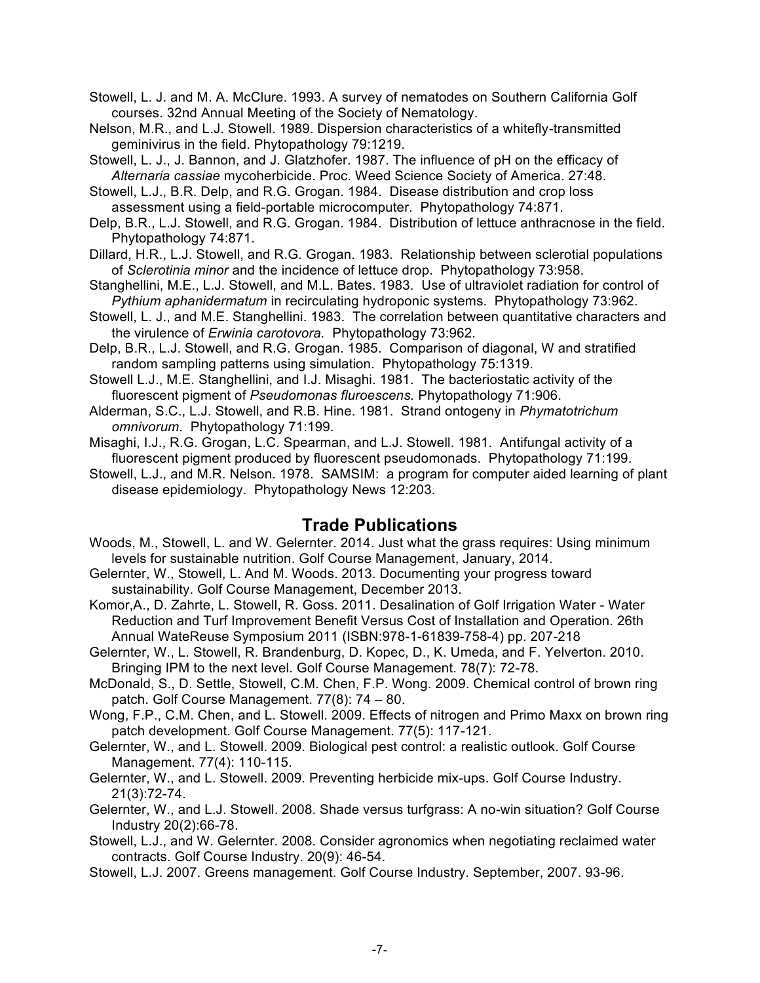Stowell, L. J. and M. A. McClure. 1993. A survey of nematodes on Southern California Golf courses. 32nd Annual Meeting of the Society of Nematology.

- Nelson, M.R., and L.J. Stowell. 1989. Dispersion characteristics of a whitefly-transmitted geminivirus in the field. Phytopathology 79:1219.
- Stowell, L. J., J. Bannon, and J. Glatzhofer. 1987. The influence of pH on the efficacy of *Alternaria cassiae* mycoherbicide. Proc. Weed Science Society of America. 27:48.
- Stowell, L.J., B.R. Delp, and R.G. Grogan. 1984. Disease distribution and crop loss assessment using a field-portable microcomputer. Phytopathology 74:871.
- Delp, B.R., L.J. Stowell, and R.G. Grogan. 1984. Distribution of lettuce anthracnose in the field. Phytopathology 74:871.
- Dillard, H.R., L.J. Stowell, and R.G. Grogan. 1983. Relationship between sclerotial populations of *Sclerotinia minor* and the incidence of lettuce drop. Phytopathology 73:958.
- Stanghellini, M.E., L.J. Stowell, and M.L. Bates. 1983. Use of ultraviolet radiation for control of *Pythium aphanidermatum* in recirculating hydroponic systems. Phytopathology 73:962.
- Stowell, L. J., and M.E. Stanghellini. 1983. The correlation between quantitative characters and the virulence of *Erwinia carotovora.* Phytopathology 73:962.
- Delp, B.R., L.J. Stowell, and R.G. Grogan. 1985. Comparison of diagonal, W and stratified random sampling patterns using simulation. Phytopathology 75:1319.
- Stowell L.J., M.E. Stanghellini, and I.J. Misaghi. 1981. The bacteriostatic activity of the fluorescent pigment of *Pseudomonas fluroescens.* Phytopathology 71:906.
- Alderman, S.C., L.J. Stowell, and R.B. Hine. 1981. Strand ontogeny in *Phymatotrichum omnivorum.* Phytopathology 71:199.
- Misaghi, I.J., R.G. Grogan, L.C. Spearman, and L.J. Stowell. 1981. Antifungal activity of a fluorescent pigment produced by fluorescent pseudomonads. Phytopathology 71:199.
- Stowell, L.J., and M.R. Nelson. 1978. SAMSIM: a program for computer aided learning of plant disease epidemiology. Phytopathology News 12:203.

## **Trade Publications**

- Woods, M., Stowell, L. and W. Gelernter. 2014. Just what the grass requires: Using minimum levels for sustainable nutrition. Golf Course Management, January, 2014.
- Gelernter, W., Stowell, L. And M. Woods. 2013. Documenting your progress toward sustainability. Golf Course Management, December 2013.
- Komor,A., D. Zahrte, L. Stowell, R. Goss. 2011. Desalination of Golf Irrigation Water Water Reduction and Turf Improvement Benefit Versus Cost of Installation and Operation. 26th Annual WateReuse Symposium 2011 (ISBN:978-1-61839-758-4) pp. 207-218
- Gelernter, W., L. Stowell, R. Brandenburg, D. Kopec, D., K. Umeda, and F. Yelverton. 2010. Bringing IPM to the next level. Golf Course Management. 78(7): 72-78.
- McDonald, S., D. Settle, Stowell, C.M. Chen, F.P. Wong. 2009. Chemical control of brown ring patch. Golf Course Management. 77(8): 74 – 80.
- Wong, F.P., C.M. Chen, and L. Stowell. 2009. Effects of nitrogen and Primo Maxx on brown ring patch development. Golf Course Management. 77(5): 117-121.
- Gelernter, W., and L. Stowell. 2009. Biological pest control: a realistic outlook. Golf Course Management. 77(4): 110-115.
- Gelernter, W., and L. Stowell. 2009. Preventing herbicide mix-ups. Golf Course Industry. 21(3):72-74.
- Gelernter, W., and L.J. Stowell. 2008. Shade versus turfgrass: A no-win situation? Golf Course Industry 20(2):66-78.
- Stowell, L.J., and W. Gelernter. 2008. Consider agronomics when negotiating reclaimed water contracts. Golf Course Industry. 20(9): 46-54.
- Stowell, L.J. 2007. Greens management. Golf Course Industry. September, 2007. 93-96.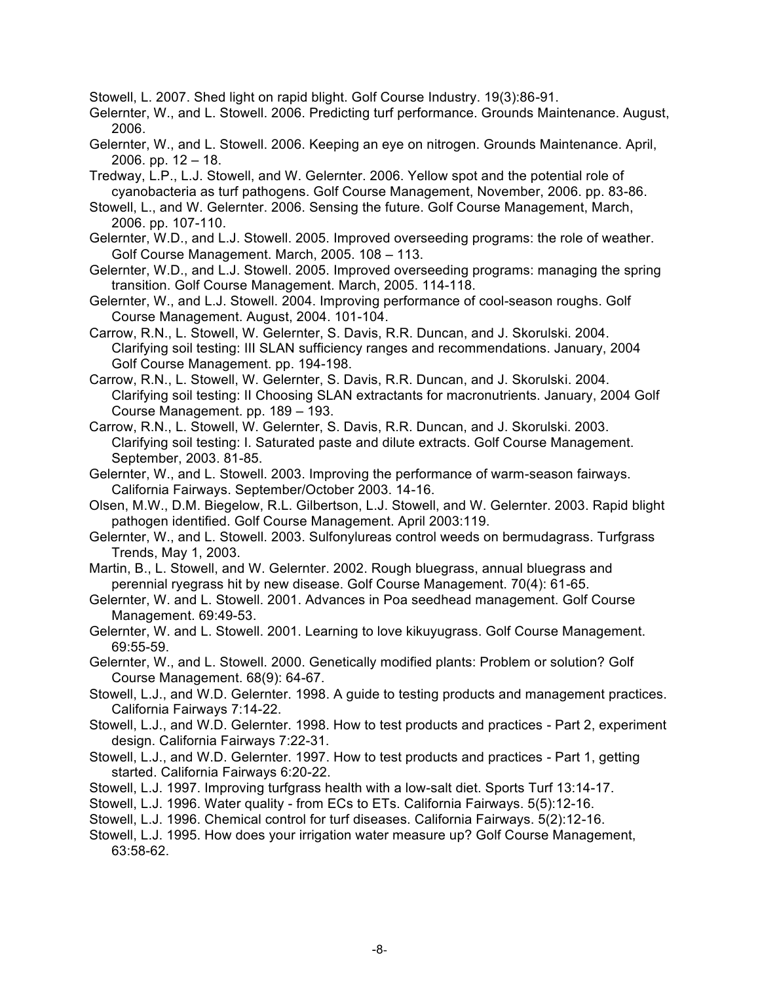Stowell, L. 2007. Shed light on rapid blight. Golf Course Industry. 19(3):86-91.

Gelernter, W., and L. Stowell. 2006. Predicting turf performance. Grounds Maintenance. August, 2006.

- Gelernter, W., and L. Stowell. 2006. Keeping an eye on nitrogen. Grounds Maintenance. April,  $2006.$  pp.  $12 - 18.$
- Tredway, L.P., L.J. Stowell, and W. Gelernter. 2006. Yellow spot and the potential role of cyanobacteria as turf pathogens. Golf Course Management, November, 2006. pp. 83-86.
- Stowell, L., and W. Gelernter. 2006. Sensing the future. Golf Course Management, March, 2006. pp. 107-110.
- Gelernter, W.D., and L.J. Stowell. 2005. Improved overseeding programs: the role of weather. Golf Course Management. March, 2005. 108 – 113.
- Gelernter, W.D., and L.J. Stowell. 2005. Improved overseeding programs: managing the spring transition. Golf Course Management. March, 2005. 114-118.
- Gelernter, W., and L.J. Stowell. 2004. Improving performance of cool-season roughs. Golf Course Management. August, 2004. 101-104.
- Carrow, R.N., L. Stowell, W. Gelernter, S. Davis, R.R. Duncan, and J. Skorulski. 2004. Clarifying soil testing: III SLAN sufficiency ranges and recommendations. January, 2004 Golf Course Management. pp. 194-198.
- Carrow, R.N., L. Stowell, W. Gelernter, S. Davis, R.R. Duncan, and J. Skorulski. 2004. Clarifying soil testing: II Choosing SLAN extractants for macronutrients. January, 2004 Golf Course Management. pp. 189 – 193.
- Carrow, R.N., L. Stowell, W. Gelernter, S. Davis, R.R. Duncan, and J. Skorulski. 2003. Clarifying soil testing: I. Saturated paste and dilute extracts. Golf Course Management. September, 2003. 81-85.
- Gelernter, W., and L. Stowell. 2003. Improving the performance of warm-season fairways. California Fairways. September/October 2003. 14-16.
- Olsen, M.W., D.M. Biegelow, R.L. Gilbertson, L.J. Stowell, and W. Gelernter. 2003. Rapid blight pathogen identified. Golf Course Management. April 2003:119.
- Gelernter, W., and L. Stowell. 2003. Sulfonylureas control weeds on bermudagrass. Turfgrass Trends, May 1, 2003.
- Martin, B., L. Stowell, and W. Gelernter. 2002. Rough bluegrass, annual bluegrass and perennial ryegrass hit by new disease. Golf Course Management. 70(4): 61-65.
- Gelernter, W. and L. Stowell. 2001. Advances in Poa seedhead management. Golf Course Management. 69:49-53.
- Gelernter, W. and L. Stowell. 2001. Learning to love kikuyugrass. Golf Course Management. 69:55-59.
- Gelernter, W., and L. Stowell. 2000. Genetically modified plants: Problem or solution? Golf Course Management. 68(9): 64-67.
- Stowell, L.J., and W.D. Gelernter. 1998. A guide to testing products and management practices. California Fairways 7:14-22.
- Stowell, L.J., and W.D. Gelernter. 1998. How to test products and practices Part 2, experiment design. California Fairways 7:22-31.
- Stowell, L.J., and W.D. Gelernter. 1997. How to test products and practices Part 1, getting started. California Fairways 6:20-22.
- Stowell, L.J. 1997. Improving turfgrass health with a low-salt diet. Sports Turf 13:14-17.
- Stowell, L.J. 1996. Water quality from ECs to ETs. California Fairways. 5(5):12-16.
- Stowell, L.J. 1996. Chemical control for turf diseases. California Fairways. 5(2):12-16.
- Stowell, L.J. 1995. How does your irrigation water measure up? Golf Course Management, 63:58-62.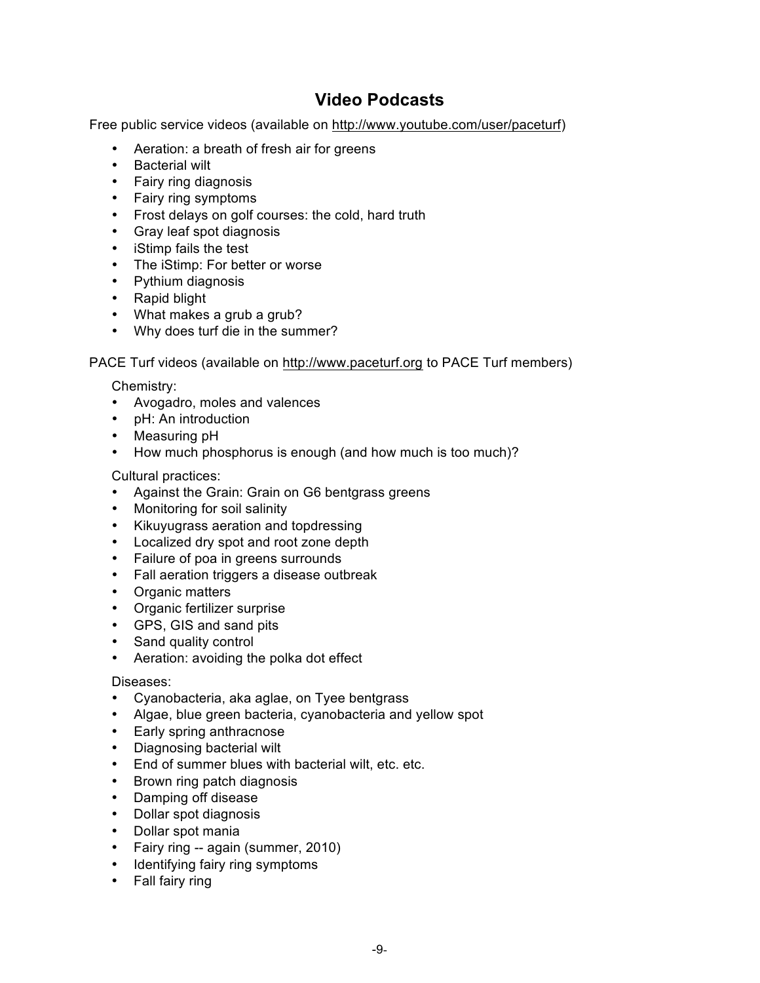# **Video Podcasts**

Free public service videos (available on http://www.youtube.com/user/paceturf)

- Aeration: a breath of fresh air for greens
- Bacterial wilt
- Fairy ring diagnosis
- Fairy ring symptoms
- Frost delays on golf courses: the cold, hard truth
- Gray leaf spot diagnosis
- iStimp fails the test
- The iStimp: For better or worse
- Pythium diagnosis
- Rapid blight
- What makes a grub a grub?
- Why does turf die in the summer?

PACE Turf videos (available on http://www.paceturf.org to PACE Turf members)

Chemistry:

- Avogadro, moles and valences
- pH: An introduction
- Measuring pH
- How much phosphorus is enough (and how much is too much)?

Cultural practices:

- Against the Grain: Grain on G6 bentgrass greens
- Monitoring for soil salinity
- Kikuyugrass aeration and topdressing
- Localized dry spot and root zone depth
- Failure of poa in greens surrounds
- Fall aeration triggers a disease outbreak
- Organic matters
- Organic fertilizer surprise
- GPS, GIS and sand pits
- Sand quality control
- Aeration: avoiding the polka dot effect

### Diseases:

- Cyanobacteria, aka aglae, on Tyee bentgrass
- Algae, blue green bacteria, cyanobacteria and yellow spot
- Early spring anthracnose
- Diagnosing bacterial wilt
- End of summer blues with bacterial wilt, etc. etc.
- Brown ring patch diagnosis
- Damping off disease
- Dollar spot diagnosis
- Dollar spot mania
- Fairy ring -- again (summer, 2010)
- Identifying fairy ring symptoms
- Fall fairy ring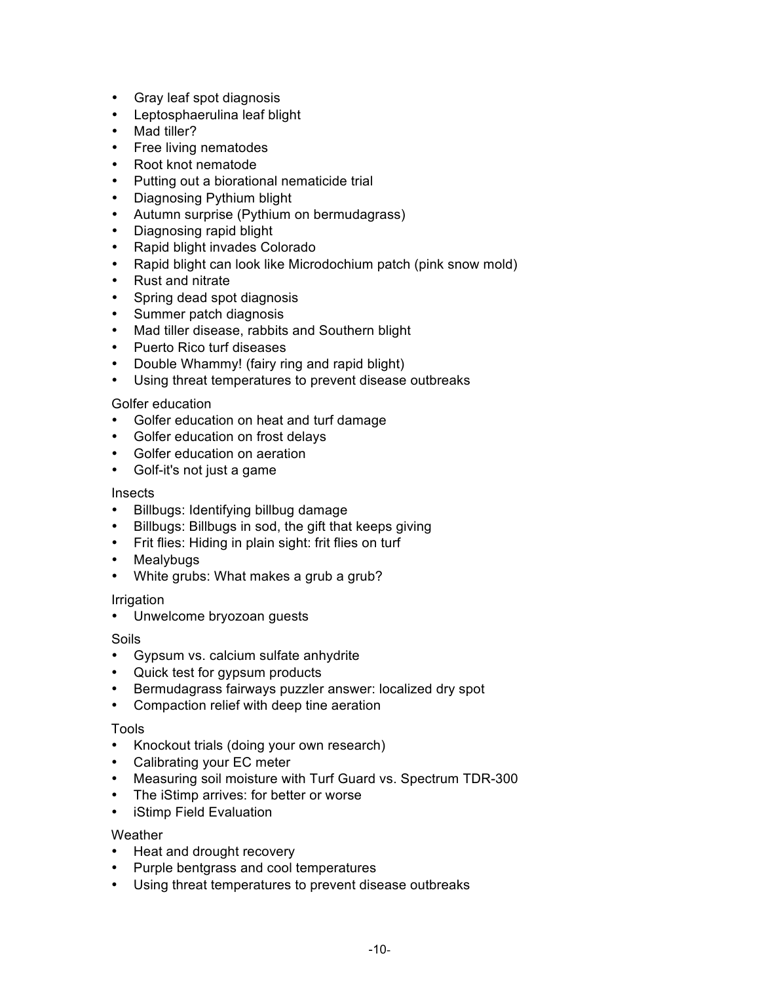- Gray leaf spot diagnosis
- Leptosphaerulina leaf blight
- Mad tiller?
- Free living nematodes
- Root knot nematode
- Putting out a biorational nematicide trial
- Diagnosing Pythium blight
- Autumn surprise (Pythium on bermudagrass)
- Diagnosing rapid blight
- Rapid blight invades Colorado
- Rapid blight can look like Microdochium patch (pink snow mold)
- Rust and nitrate
- Spring dead spot diagnosis
- Summer patch diagnosis
- Mad tiller disease, rabbits and Southern blight
- Puerto Rico turf diseases
- Double Whammy! (fairy ring and rapid blight)
- Using threat temperatures to prevent disease outbreaks

### Golfer education

- Golfer education on heat and turf damage
- Golfer education on frost delays
- Golfer education on aeration
- Golf-it's not just a game

#### Insects

- Billbugs: Identifying billbug damage
- Billbugs: Billbugs in sod, the gift that keeps giving
- Frit flies: Hiding in plain sight: frit flies on turf
- Mealybugs
- White grubs: What makes a grub a grub?

### Irrigation

• Unwelcome bryozoan guests

### Soils

- Gypsum vs. calcium sulfate anhydrite
- Quick test for gypsum products
- Bermudagrass fairways puzzler answer: localized dry spot
- Compaction relief with deep tine aeration

### Tools

- Knockout trials (doing your own research)
- Calibrating your EC meter
- Measuring soil moisture with Turf Guard vs. Spectrum TDR-300
- The iStimp arrives: for better or worse
- iStimp Field Evaluation

### **Weather**

- Heat and drought recovery
- Purple bentgrass and cool temperatures
- Using threat temperatures to prevent disease outbreaks